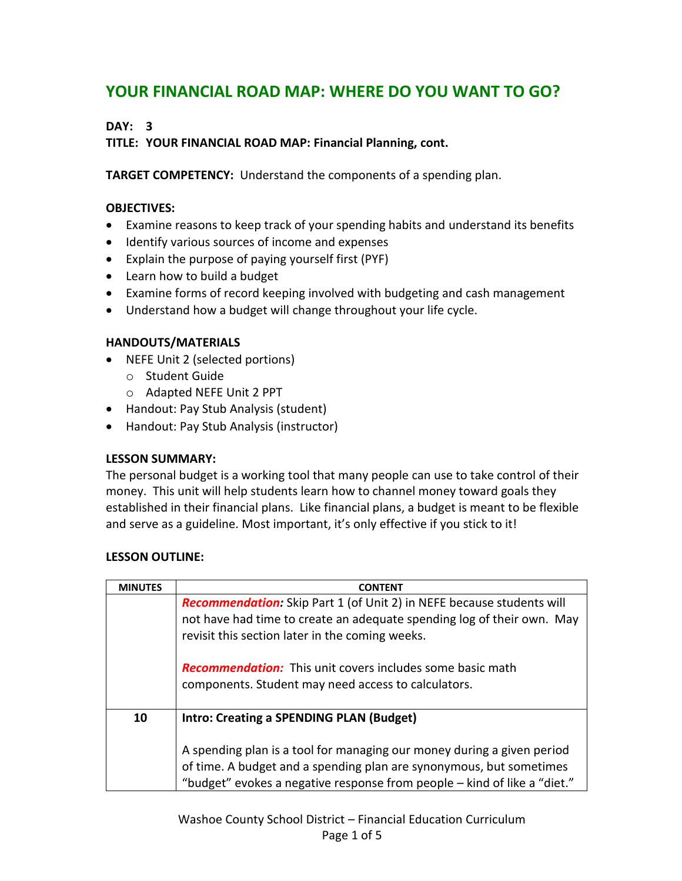# **YOUR FINANCIAL ROAD MAP: WHERE DO YOU WANT TO GO?**

# **DAY: 3**

**TITLE: YOUR FINANCIAL ROAD MAP: Financial Planning, cont.**

**TARGET COMPETENCY:** Understand the components of a spending plan.

# **OBJECTIVES:**

- Examine reasons to keep track of your spending habits and understand its benefits
- $\bullet$  Identify various sources of income and expenses
- Explain the purpose of paying yourself first (PYF)
- Learn how to build a budget
- Examine forms of record keeping involved with budgeting and cash management
- Understand how a budget will change throughout your life cycle.

#### **HANDOUTS/MATERIALS**

- NEFE Unit 2 (selected portions)
	- o Student Guide
	- o Adapted NEFE Unit 2 PPT
- Handout: Pay Stub Analysis (student)
- Handout: Pay Stub Analysis (instructor)

#### **LESSON SUMMARY:**

The personal budget is a working tool that many people can use to take control of their money. This unit will help students learn how to channel money toward goals they established in their financial plans. Like financial plans, a budget is meant to be flexible and serve as a guideline. Most important, it's only effective if you stick to it!

#### **LESSON OUTLINE:**

| <b>MINUTES</b> | <b>CONTENT</b>                                                                                                                                                                                            |
|----------------|-----------------------------------------------------------------------------------------------------------------------------------------------------------------------------------------------------------|
|                | <b>Recommendation:</b> Skip Part 1 (of Unit 2) in NEFE because students will<br>not have had time to create an adequate spending log of their own. May<br>revisit this section later in the coming weeks. |
|                | <b>Recommendation:</b> This unit covers includes some basic math<br>components. Student may need access to calculators.                                                                                   |
| 10             | <b>Intro: Creating a SPENDING PLAN (Budget)</b>                                                                                                                                                           |
|                | A spending plan is a tool for managing our money during a given period<br>of time. A budget and a spending plan are synonymous, but sometimes                                                             |
|                | "budget" evokes a negative response from people - kind of like a "diet."                                                                                                                                  |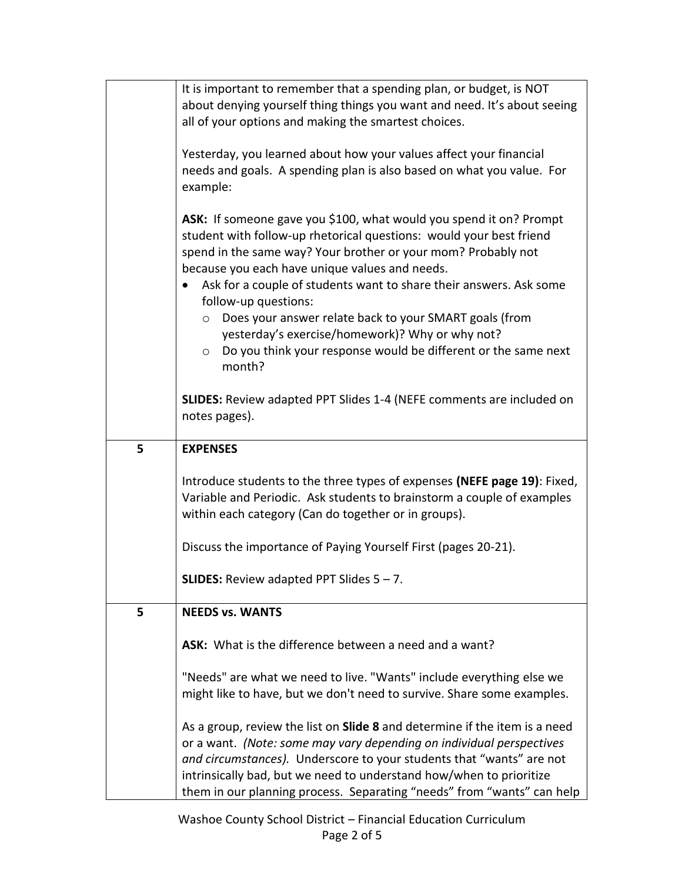|   | It is important to remember that a spending plan, or budget, is NOT<br>about denying yourself thing things you want and need. It's about seeing |
|---|-------------------------------------------------------------------------------------------------------------------------------------------------|
|   | all of your options and making the smartest choices.                                                                                            |
|   |                                                                                                                                                 |
|   | Yesterday, you learned about how your values affect your financial                                                                              |
|   | needs and goals. A spending plan is also based on what you value. For<br>example:                                                               |
|   |                                                                                                                                                 |
|   | ASK: If someone gave you \$100, what would you spend it on? Prompt                                                                              |
|   | student with follow-up rhetorical questions: would your best friend                                                                             |
|   | spend in the same way? Your brother or your mom? Probably not                                                                                   |
|   | because you each have unique values and needs.<br>Ask for a couple of students want to share their answers. Ask some                            |
|   | follow-up questions:                                                                                                                            |
|   | ○ Does your answer relate back to your SMART goals (from                                                                                        |
|   | yesterday's exercise/homework)? Why or why not?                                                                                                 |
|   | Do you think your response would be different or the same next<br>$\circ$                                                                       |
|   | month?                                                                                                                                          |
|   | <b>SLIDES:</b> Review adapted PPT Slides 1-4 (NEFE comments are included on                                                                     |
|   | notes pages).                                                                                                                                   |
|   |                                                                                                                                                 |
| 5 | <b>EXPENSES</b>                                                                                                                                 |
|   | Introduce students to the three types of expenses (NEFE page 19): Fixed,                                                                        |
|   | Variable and Periodic. Ask students to brainstorm a couple of examples                                                                          |
|   | within each category (Can do together or in groups).                                                                                            |
|   |                                                                                                                                                 |
|   | Discuss the importance of Paying Yourself First (pages 20-21).                                                                                  |
|   | <b>SLIDES:</b> Review adapted PPT Slides $5 - 7$ .                                                                                              |
|   |                                                                                                                                                 |
| 5 | <b>NEEDS vs. WANTS</b>                                                                                                                          |
|   | ASK: What is the difference between a need and a want?                                                                                          |
|   |                                                                                                                                                 |
|   | "Needs" are what we need to live. "Wants" include everything else we                                                                            |
|   | might like to have, but we don't need to survive. Share some examples.                                                                          |
|   | As a group, review the list on <b>Slide 8</b> and determine if the item is a need                                                               |
|   | or a want. (Note: some may vary depending on individual perspectives                                                                            |
|   | and circumstances). Underscore to your students that "wants" are not                                                                            |
|   | intrinsically bad, but we need to understand how/when to prioritize                                                                             |
|   | them in our planning process. Separating "needs" from "wants" can help                                                                          |

Washoe County School District – Financial Education Curriculum Page 2 of 5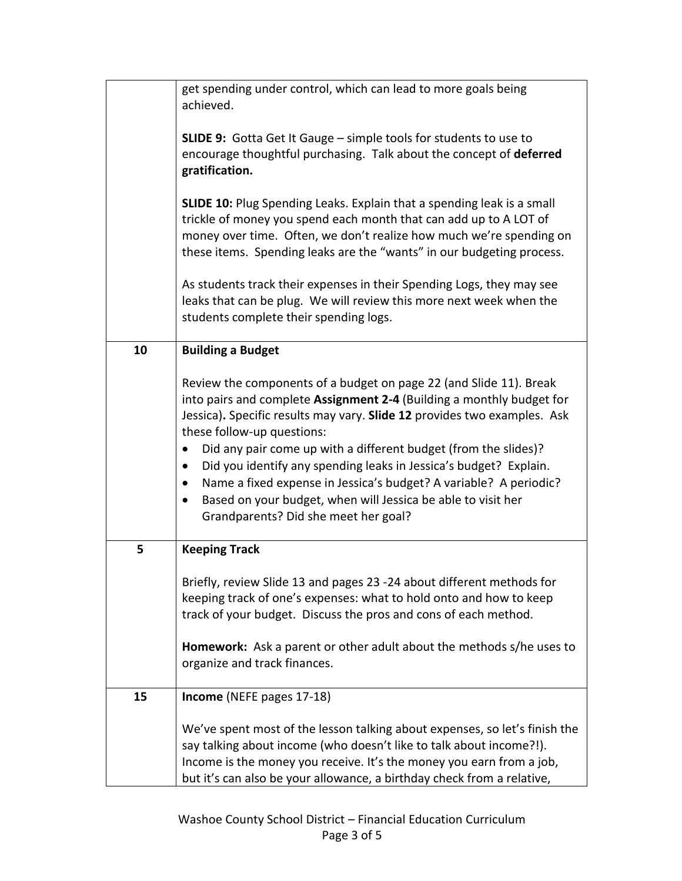|    | get spending under control, which can lead to more goals being<br>achieved.                                                                                                                                                                                                                                                                                                                                                                                                                                                                                                                          |
|----|------------------------------------------------------------------------------------------------------------------------------------------------------------------------------------------------------------------------------------------------------------------------------------------------------------------------------------------------------------------------------------------------------------------------------------------------------------------------------------------------------------------------------------------------------------------------------------------------------|
|    | <b>SLIDE 9:</b> Gotta Get It Gauge - simple tools for students to use to<br>encourage thoughtful purchasing. Talk about the concept of deferred<br>gratification.                                                                                                                                                                                                                                                                                                                                                                                                                                    |
|    | <b>SLIDE 10:</b> Plug Spending Leaks. Explain that a spending leak is a small<br>trickle of money you spend each month that can add up to A LOT of<br>money over time. Often, we don't realize how much we're spending on<br>these items. Spending leaks are the "wants" in our budgeting process.                                                                                                                                                                                                                                                                                                   |
|    | As students track their expenses in their Spending Logs, they may see<br>leaks that can be plug. We will review this more next week when the<br>students complete their spending logs.                                                                                                                                                                                                                                                                                                                                                                                                               |
| 10 | <b>Building a Budget</b>                                                                                                                                                                                                                                                                                                                                                                                                                                                                                                                                                                             |
|    | Review the components of a budget on page 22 (and Slide 11). Break<br>into pairs and complete Assignment 2-4 (Building a monthly budget for<br>Jessica). Specific results may vary. Slide 12 provides two examples. Ask<br>these follow-up questions:<br>Did any pair come up with a different budget (from the slides)?<br>$\bullet$<br>Did you identify any spending leaks in Jessica's budget? Explain.<br>Name a fixed expense in Jessica's budget? A variable? A periodic?<br>$\bullet$<br>Based on your budget, when will Jessica be able to visit her<br>Grandparents? Did she meet her goal? |
| 5  | <b>Keeping Track</b>                                                                                                                                                                                                                                                                                                                                                                                                                                                                                                                                                                                 |
|    | Briefly, review Slide 13 and pages 23 -24 about different methods for<br>keeping track of one's expenses: what to hold onto and how to keep<br>track of your budget. Discuss the pros and cons of each method.                                                                                                                                                                                                                                                                                                                                                                                       |
|    | Homework: Ask a parent or other adult about the methods s/he uses to<br>organize and track finances.                                                                                                                                                                                                                                                                                                                                                                                                                                                                                                 |
| 15 | Income (NEFE pages 17-18)                                                                                                                                                                                                                                                                                                                                                                                                                                                                                                                                                                            |
|    | We've spent most of the lesson talking about expenses, so let's finish the<br>say talking about income (who doesn't like to talk about income?!).<br>Income is the money you receive. It's the money you earn from a job,<br>but it's can also be your allowance, a birthday check from a relative,                                                                                                                                                                                                                                                                                                  |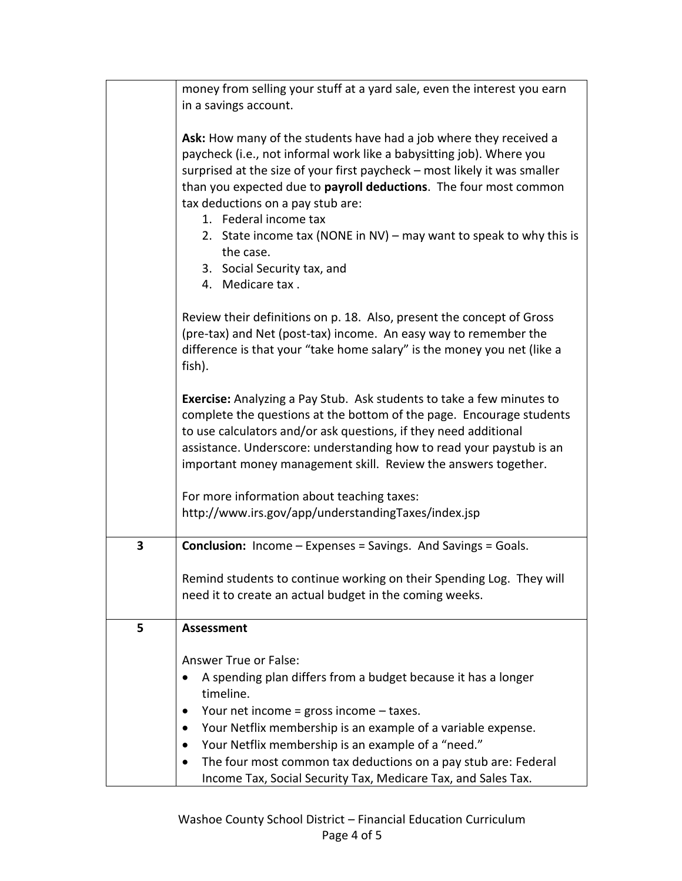|   | money from selling your stuff at a yard sale, even the interest you earn<br>in a savings account.                                                                                                                                                                                                                                                                                                                                                                                                 |
|---|---------------------------------------------------------------------------------------------------------------------------------------------------------------------------------------------------------------------------------------------------------------------------------------------------------------------------------------------------------------------------------------------------------------------------------------------------------------------------------------------------|
|   | Ask: How many of the students have had a job where they received a<br>paycheck (i.e., not informal work like a babysitting job). Where you<br>surprised at the size of your first paycheck - most likely it was smaller<br>than you expected due to payroll deductions. The four most common<br>tax deductions on a pay stub are:<br>1. Federal income tax<br>2. State income tax (NONE in NV) - may want to speak to why this is<br>the case.<br>3. Social Security tax, and<br>4. Medicare tax. |
|   | Review their definitions on p. 18. Also, present the concept of Gross<br>(pre-tax) and Net (post-tax) income. An easy way to remember the<br>difference is that your "take home salary" is the money you net (like a<br>fish).                                                                                                                                                                                                                                                                    |
|   | Exercise: Analyzing a Pay Stub. Ask students to take a few minutes to<br>complete the questions at the bottom of the page. Encourage students<br>to use calculators and/or ask questions, if they need additional<br>assistance. Underscore: understanding how to read your paystub is an<br>important money management skill. Review the answers together.                                                                                                                                       |
|   | For more information about teaching taxes:<br>http://www.irs.gov/app/understandingTaxes/index.jsp                                                                                                                                                                                                                                                                                                                                                                                                 |
| 3 | <b>Conclusion:</b> Income - Expenses = Savings. And Savings = Goals.                                                                                                                                                                                                                                                                                                                                                                                                                              |
|   | Remind students to continue working on their Spending Log. They will<br>need it to create an actual budget in the coming weeks.                                                                                                                                                                                                                                                                                                                                                                   |
| 5 | <b>Assessment</b>                                                                                                                                                                                                                                                                                                                                                                                                                                                                                 |
|   | <b>Answer True or False:</b><br>A spending plan differs from a budget because it has a longer<br>timeline.<br>Your net income = gross income $-$ taxes.<br>$\bullet$<br>Your Netflix membership is an example of a variable expense.<br>Your Netflix membership is an example of a "need."<br>$\bullet$<br>The four most common tax deductions on a pay stub are: Federal<br>$\bullet$<br>Income Tax, Social Security Tax, Medicare Tax, and Sales Tax.                                           |